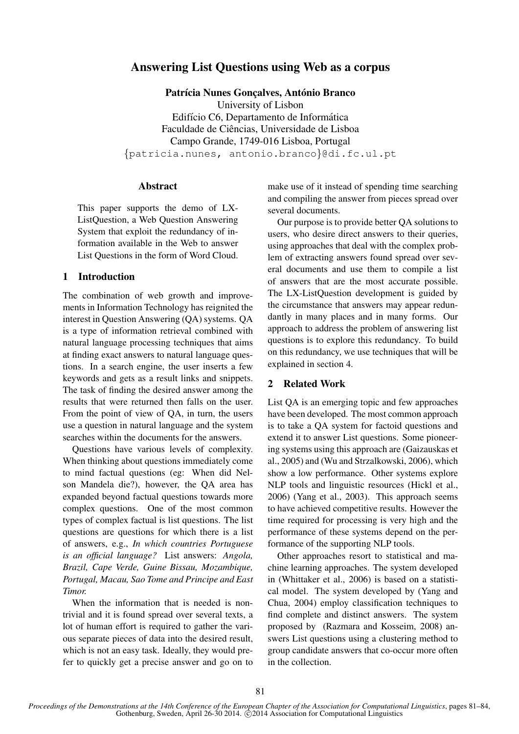# Answering List Questions using Web as a corpus

Patrícia Nunes Goncalves, António Branco

University of Lisbon Edifício C6, Departamento de Informática Faculdade de Ciências, Universidade de Lisboa Campo Grande, 1749-016 Lisboa, Portugal {patricia.nunes, antonio.branco}@di.fc.ul.pt

# Abstract

This paper supports the demo of LX-ListQuestion, a Web Question Answering System that exploit the redundancy of information available in the Web to answer List Questions in the form of Word Cloud.

## 1 Introduction

The combination of web growth and improvements in Information Technology has reignited the interest in Question Answering (QA) systems. QA is a type of information retrieval combined with natural language processing techniques that aims at finding exact answers to natural language questions. In a search engine, the user inserts a few keywords and gets as a result links and snippets. The task of finding the desired answer among the results that were returned then falls on the user. From the point of view of QA, in turn, the users use a question in natural language and the system searches within the documents for the answers.

Questions have various levels of complexity. When thinking about questions immediately come to mind factual questions (eg: When did Nelson Mandela die?), however, the QA area has expanded beyond factual questions towards more complex questions. One of the most common types of complex factual is list questions. The list questions are questions for which there is a list of answers, e.g., *In which countries Portuguese is an official language?* List answers: *Angola, Brazil, Cape Verde, Guine Bissau, Mozambique, Portugal, Macau, Sao Tome and Principe and East Timor.*

When the information that is needed is nontrivial and it is found spread over several texts, a lot of human effort is required to gather the various separate pieces of data into the desired result, which is not an easy task. Ideally, they would prefer to quickly get a precise answer and go on to

make use of it instead of spending time searching and compiling the answer from pieces spread over several documents.

Our purpose is to provide better QA solutions to users, who desire direct answers to their queries, using approaches that deal with the complex problem of extracting answers found spread over several documents and use them to compile a list of answers that are the most accurate possible. The LX-ListQuestion development is guided by the circumstance that answers may appear redundantly in many places and in many forms. Our approach to address the problem of answering list questions is to explore this redundancy. To build on this redundancy, we use techniques that will be explained in section 4.

## 2 Related Work

List QA is an emerging topic and few approaches have been developed. The most common approach is to take a QA system for factoid questions and extend it to answer List questions. Some pioneering systems using this approach are (Gaizauskas et al., 2005) and (Wu and Strzalkowski, 2006), which show a low performance. Other systems explore NLP tools and linguistic resources (Hickl et al., 2006) (Yang et al., 2003). This approach seems to have achieved competitive results. However the time required for processing is very high and the performance of these systems depend on the performance of the supporting NLP tools.

Other approaches resort to statistical and machine learning approaches. The system developed in (Whittaker et al., 2006) is based on a statistical model. The system developed by (Yang and Chua, 2004) employ classification techniques to find complete and distinct answers. The system proposed by (Razmara and Kosseim, 2008) answers List questions using a clustering method to group candidate answers that co-occur more often in the collection.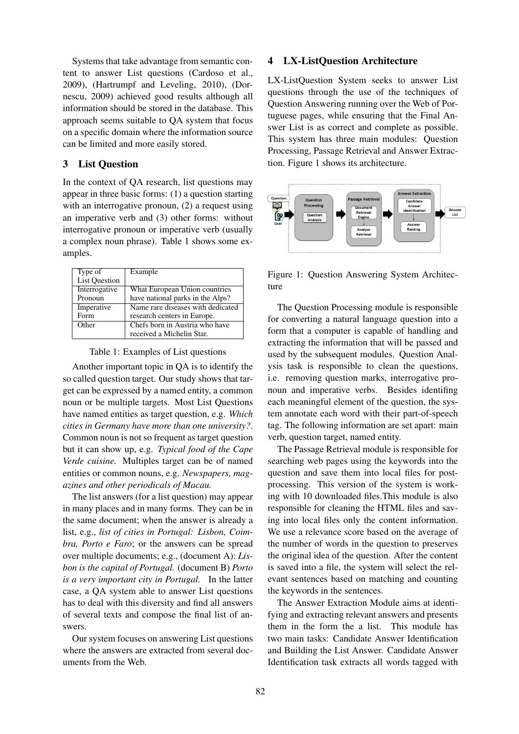Systems that take advantage from semantic content to answer List questions (Cardoso et al., 2009), (Hartrumpf and Leveling, 2010), (Dornescu, 2009) achieved good results although all information should be stored in the database. This approach seems suitable to QA system that focus on a specific domain where the information source can be limited and more easily stored.

# 3 List Question

In the context of QA research, list questions may appear in three basic forms: (1) a question starting with an interrogative pronoun, (2) a request using an imperative verb and (3) other forms: without interrogative pronoun or imperative verb (usually a complex noun phrase). Table 1 shows some examples.

| Type of              | Example                           |  |
|----------------------|-----------------------------------|--|
| <b>List Question</b> |                                   |  |
| Interrogative        | What European Union countries     |  |
| Pronoun              | have national parks in the Alps?  |  |
| Imperative           | Name rare diseases with dedicated |  |
| Form                 | research centers in Europe.       |  |
| Other                | Chefs born in Austria who have    |  |
|                      | received a Michelin Star.         |  |

Table 1: Examples of List questions

Another important topic in QA is to identify the so called question target. Our study shows that target can be expressed by a named entity, a common noun or be multiple targets. Most List Questions have named entities as target question, e.g. *Which cities in Germany have more than one university?*. Common noun is not so frequent as target question but it can show up, e.g. *Typical food of the Cape Verde cuisine.* Multiples target can be of named entities or common nouns, e.g. *Newspapers, magazines and other periodicals of Macau.*

The list answers (for a list question) may appear in many places and in many forms. They can be in the same document; when the answer is already a list, e.g., *list of cities in Portugal: Lisbon, Coimbra, Porto e Faro*; or the answers can be spread over multiple documents; e.g., (document A): *Lisbon is the capital of Portugal.* (document B) *Porto is a very important city in Portugal.* In the latter case, a QA system able to answer List questions has to deal with this diversity and find all answers of several texts and compose the final list of answers.

Our system focuses on answering List questions where the answers are extracted from several documents from the Web.

#### 4 LX-ListQuestion Architecture

LX-ListQuestion System seeks to answer List questions through the use of the techniques of Question Answering running over the Web of Portuguese pages, while ensuring that the Final Answer List is as correct and complete as possible. This system has three main modules: Question Processing, Passage Retrieval and Answer Extraction. Figure 1 shows its architecture.



Figure 1: Question Answering System Architecture

The Question Processing module is responsible for converting a natural language question into a form that a computer is capable of handling and extracting the information that will be passed and used by the subsequent modules. Question Analysis task is responsible to clean the questions, i.e. removing question marks, interrogative pronoun and imperative verbs. Besides identifing each meaningful element of the question, the system annotate each word with their part-of-speech tag. The following information are set apart: main verb, question target, named entity.

The Passage Retrieval module is responsible for searching web pages using the keywords into the question and save them into local files for postprocessing. This version of the system is working with 10 downloaded files.This module is also responsible for cleaning the HTML files and saving into local files only the content information. We use a relevance score based on the average of the number of words in the question to preserves the original idea of the question. After the content is saved into a file, the system will select the relevant sentences based on matching and counting the keywords in the sentences.

The Answer Extraction Module aims at identifying and extracting relevant answers and presents them in the form the a list. This module has two main tasks: Candidate Answer Identification and Building the List Answer. Candidate Answer Identification task extracts all words tagged with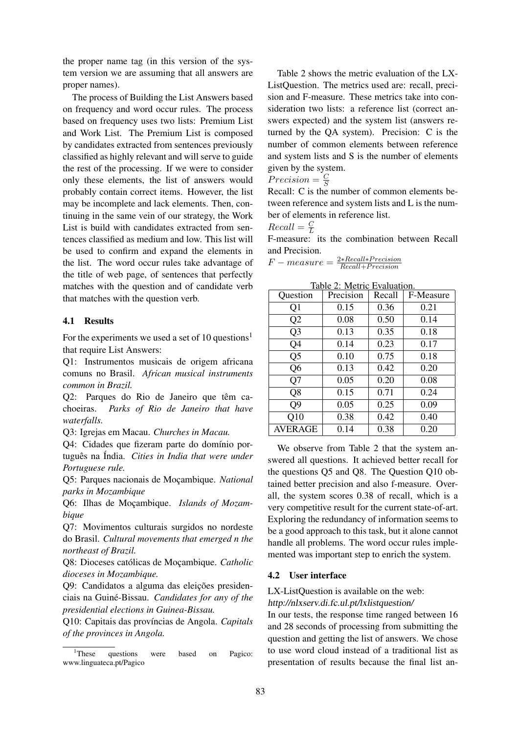the proper name tag (in this version of the system version we are assuming that all answers are proper names).

The process of Building the List Answers based on frequency and word occur rules. The process based on frequency uses two lists: Premium List and Work List. The Premium List is composed by candidates extracted from sentences previously classified as highly relevant and will serve to guide the rest of the processing. If we were to consider only these elements, the list of answers would probably contain correct items. However, the list may be incomplete and lack elements. Then, continuing in the same vein of our strategy, the Work List is build with candidates extracted from sentences classified as medium and low. This list will be used to confirm and expand the elements in the list. The word occur rules take advantage of the title of web page, of sentences that perfectly matches with the question and of candidate verb that matches with the question verb.

#### 4.1 Results

For the experiments we used a set of 10 questions<sup>1</sup> that require List Answers:

Q1: Instrumentos musicais de origem africana comuns no Brasil. *African musical instruments common in Brazil.*

Q2: Parques do Rio de Janeiro que têm cachoeiras. *Parks of Rio de Janeiro that have waterfalls.*

Q3: Igrejas em Macau. *Churches in Macau.*

Q4: Cidades que fizeram parte do domínio português na Índia. *Cities in India that were under Portuguese rule.*

Q5: Parques nacionais de Moc¸ambique. *National parks in Mozambique*

Q6: Ilhas de Moçambique. *Islands of Mozambique*

Q7: Movimentos culturais surgidos no nordeste do Brasil. *Cultural movements that emerged n the northeast of Brazil.*

Q8: Dioceses católicas de Moçambique. Catholic *dioceses in Mozambique.*

Q9: Candidatos a alguma das eleições presidenciais na Guine-Bissau. ´ *Candidates for any of the presidential elections in Guinea-Bissau.*

Q10: Capitais das prov´ıncias de Angola. *Capitals of the provinces in Angola.*

Table 2 shows the metric evaluation of the LX-ListQuestion. The metrics used are: recall, precision and F-measure. These metrics take into consideration two lists: a reference list (correct answers expected) and the system list (answers returned by the QA system). Precision: C is the number of common elements between reference and system lists and S is the number of elements given by the system.

$$
Precision = \frac{C}{S}
$$

Recall: C is the number of common elements between reference and system lists and L is the number of elements in reference list.

$$
Recall = \frac{C}{L}
$$

Frectan  $\frac{L}{L}$  its the combination between Recall and Precision.

$$
F-measure = \frac{2*Recall*Precision}{Recall+Precision}
$$

Table 2: Metric Evaluation.

| Question       | TAVIC 2. IVICITIC EVAIUATIOII.<br>Precision | Recall | F-Measure |
|----------------|---------------------------------------------|--------|-----------|
| Q1             | 0.15                                        | 0.36   | 0.21      |
| Q2             | 0.08                                        | 0.50   | 0.14      |
| Q <sub>3</sub> | 0.13                                        | 0.35   | 0.18      |
| Q4             | 0.14                                        | 0.23   | 0.17      |
| Q <sub>5</sub> | 0.10                                        | 0.75   | 0.18      |
| Q6             | 0.13                                        | 0.42   | 0.20      |
| Q7             | 0.05                                        | 0.20   | 0.08      |
| Q <sub>8</sub> | 0.15                                        | 0.71   | 0.24      |
| Q9             | 0.05                                        | 0.25   | 0.09      |
| Q10            | 0.38                                        | 0.42   | 0.40      |
| AVERAGE        | 0.14                                        | 0.38   | 0.20      |

We observe from Table 2 that the system answered all questions. It achieved better recall for the questions Q5 and Q8. The Question Q10 obtained better precision and also f-measure. Overall, the system scores 0.38 of recall, which is a very competitive result for the current state-of-art. Exploring the redundancy of information seems to be a good approach to this task, but it alone cannot handle all problems. The word occur rules implemented was important step to enrich the system.

## 4.2 User interface

# LX-ListQuestion is available on the web:

http://nlxserv.di.fc.ul.pt/lxlistquestion/

In our tests, the response time ranged between 16 and 28 seconds of processing from submitting the question and getting the list of answers. We chose to use word cloud instead of a traditional list as presentation of results because the final list an-

<sup>&</sup>lt;sup>1</sup>These questions were based on Pagico: www.linguateca.pt/Pagico